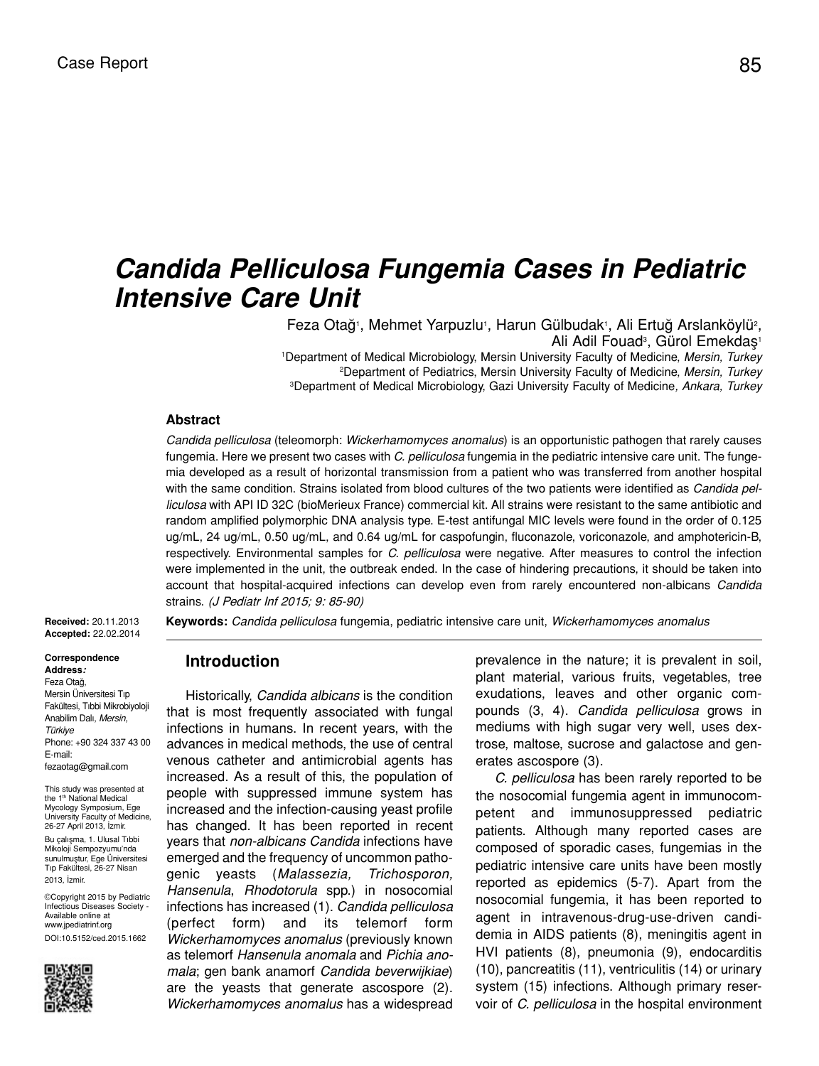# *Candida Pelliculosa Fungemia Cases in Pediatric Intensive Care Unit*

Feza Otağ<sup>ı</sup>, Mehmet Yarpuzlu<sup>1</sup>, Harun Gülbudak<sup>1</sup>, Ali Ertuğ Arslanköylü<sup>2</sup>, Ali Adil Fouad<sup>3</sup>, Gürol Emekdaş<sup>1</sup> 1 Department of Medical Microbiology, Mersin University Faculty of Medicine, *Mersin, Turkey* 2 Department of Pediatrics, Mersin University Faculty of Medicine, *Mersin, Turkey* 3 Department of Medical Microbiology, Gazi University Faculty of Medicine*, Ankara, Turkey*

#### **Abstract**

*Candida pelliculosa* (teleomorph: *Wickerhamomyces anomalus*) is an opportunistic pathogen that rarely causes fungemia. Here we present two cases with *C. pelliculosa* fungemia in the pediatric intensive care unit. The fungemia developed as a result of horizontal transmission from a patient who was transferred from another hospital with the same condition. Strains isolated from blood cultures of the two patients were identified as *Candida pelliculosa* with API ID 32C (bioMerieux France) commercial kit. All strains were resistant to the same antibiotic and random amplified polymorphic DNA analysis type. E-test antifungal MIC levels were found in the order of 0.125 ug/mL, 24 ug/mL, 0.50 ug/mL, and 0.64 ug/mL for caspofungin, fluconazole, voriconazole, and amphotericin-B, respectively. Environmental samples for *C. pelliculosa* were negative. After measures to control the infection were implemented in the unit, the outbreak ended. In the case of hindering precautions, it should be taken into account that hospital-acquired infections can develop even from rarely encountered non-albicans *Candida* strains. (J Pediatr Inf 2015; 9: 85-90)

**Received:** 20.11.2013 **Accepted:** 22.02.2014

**Correspondence Address:** Feza Otağ, Mersin Üniversitesi Tıp Fakültesi, Tıbbi Mikrobiyoloji Anabilim Dalı, *Mersin, Türkiye* Phone: +90 324 337 43 00 E-mail: fezaotag@gmail.com

This study was presented at the 1<sup>th</sup> National Medical Mycology Symposium, Ege University Faculty of Medicine, 26-27 April 2013, İzmir. Bu çalışma, 1. Ulusal Tıbbi Mikoloji Sempozyumu'nda sunulmuştur, Ege Üniversitesi Tıp Fakültesi, 26-27 Nisan 2013, İzmir.

©Copyright 2015 by Pediatric Infectious Diseases Society - Available online at www.jpediatrinf.org DOI:10.5152/ced.2015.1662



**Keywords:** *Candida pelliculosa* fungemia, pediatric intensive care unit, *Wickerhamomyces anomalus*

# **Introduction**

Historically, *Candida albicans* is the condition that is most frequently associated with fungal infections in humans. In recent years, with the advances in medical methods, the use of central venous catheter and antimicrobial agents has increased. As a result of this, the population of people with suppressed immune system has increased and the infection-causing yeast profile has changed. It has been reported in recent years that *non-albicans Candida* infections have emerged and the frequency of uncommon pathogenic yeasts (*Malassezia, Trichosporon, Hansenula*, *Rhodotorula* spp.) in nosocomial infections has increased (1). *Candida pelliculosa* (perfect form) and its telemorf form *Wickerhamomyces anomalus* (previously known as telemorf *Hansenula anomala* and *Pichia anomala*; gen bank anamorf *Candida beverwijkiae*) are the yeasts that generate ascospore (2). *Wickerhamomyces anomalus* has a widespread prevalence in the nature; it is prevalent in soil, plant material, various fruits, vegetables, tree exudations, leaves and other organic compounds (3, 4). *Candida pelliculosa* grows in mediums with high sugar very well, uses dextrose, maltose, sucrose and galactose and generates ascospore (3).

*C. pelliculosa* has been rarely reported to be the nosocomial fungemia agent in immunocompetent and immunosuppressed pediatric patients. Although many reported cases are composed of sporadic cases, fungemias in the pediatric intensive care units have been mostly reported as epidemics (5-7). Apart from the nosocomial fungemia, it has been reported to agent in intravenous-drug-use-driven candidemia in AIDS patients (8), meningitis agent in HVI patients (8), pneumonia (9), endocarditis (10), pancreatitis (11), ventriculitis (14) or urinary system (15) infections. Although primary reservoir of *C. pelliculosa* in the hospital environment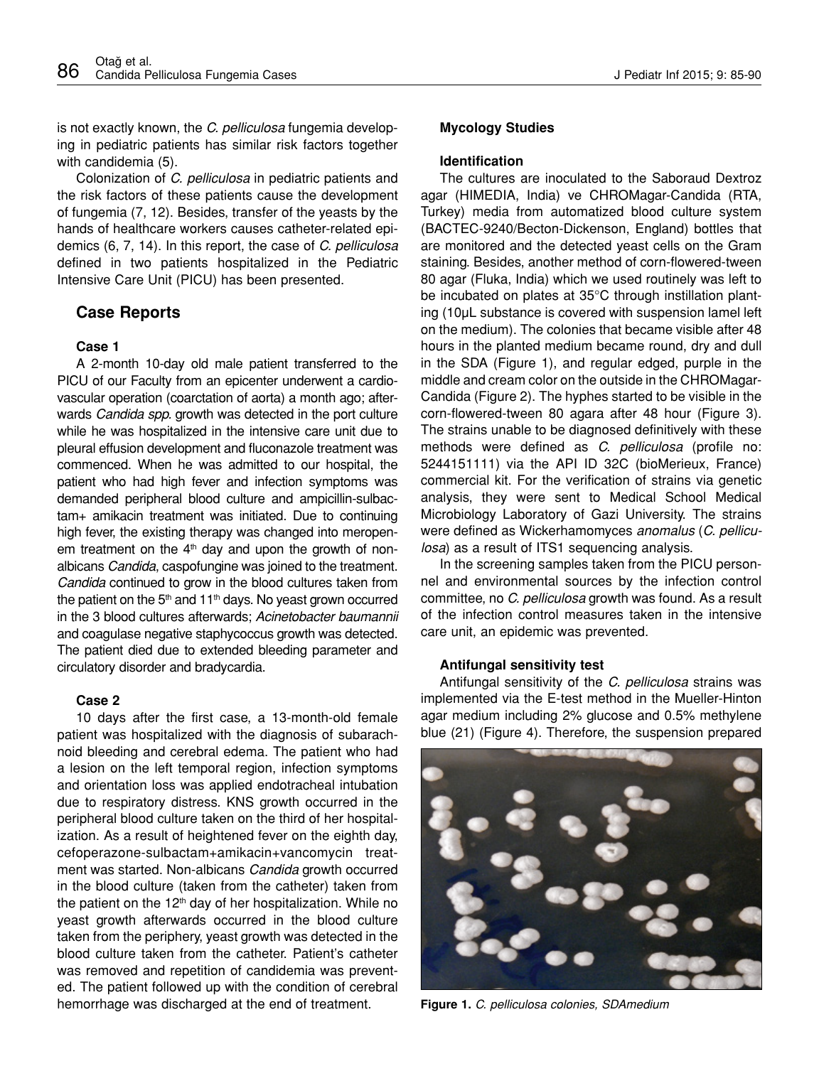is not exactly known, the *C. pelliculosa* fungemia developing in pediatric patients has similar risk factors together with candidemia (5).

Colonization of *C. pelliculosa* in pediatric patients and the risk factors of these patients cause the development of fungemia (7, 12). Besides, transfer of the yeasts by the hands of healthcare workers causes catheter-related epidemics (6, 7, 14). In this report, the case of *C. pelliculosa* defined in two patients hospitalized in the Pediatric Intensive Care Unit (PICU) has been presented.

## **Case Reports**

#### **Case 1**

A 2-month 10-day old male patient transferred to the PICU of our Faculty from an epicenter underwent a cardiovascular operation (coarctation of aorta) a month ago; afterwards *Candida spp.* growth was detected in the port culture while he was hospitalized in the intensive care unit due to pleural effusion development and fluconazole treatment was commenced. When he was admitted to our hospital, the patient who had high fever and infection symptoms was demanded peripheral blood culture and ampicillin-sulbactam+ amikacin treatment was initiated. Due to continuing high fever, the existing therapy was changed into meropenem treatment on the  $4<sup>th</sup>$  day and upon the growth of nonalbicans *Candida*, caspofungine was joined to the treatment. *Candida* continued to grow in the blood cultures taken from the patient on the  $5<sup>th</sup>$  and 11<sup>th</sup> days. No yeast grown occurred in the 3 blood cultures afterwards; *Acinetobacter baumannii* and coagulase negative staphycoccus growth was detected. The patient died due to extended bleeding parameter and circulatory disorder and bradycardia.

## **Case 2**

10 days after the first case, a 13-month-old female patient was hospitalized with the diagnosis of subarachnoid bleeding and cerebral edema. The patient who had a lesion on the left temporal region, infection symptoms and orientation loss was applied endotracheal intubation due to respiratory distress. KNS growth occurred in the peripheral blood culture taken on the third of her hospitalization. As a result of heightened fever on the eighth day, cefoperazone-sulbactam+amikacin+vancomycin treatment was started. Non-albicans *Candida* growth occurred in the blood culture (taken from the catheter) taken from the patient on the  $12<sup>th</sup>$  day of her hospitalization. While no yeast growth afterwards occurred in the blood culture taken from the periphery, yeast growth was detected in the blood culture taken from the catheter. Patient's catheter was removed and repetition of candidemia was prevented. The patient followed up with the condition of cerebral hemorrhage was discharged at the end of treatment.

#### **Mycology Studies**

#### **Identification**

The cultures are inoculated to the Saboraud Dextroz agar (HIMEDIA, India) ve CHROMagar-Candida (RTA, Turkey) media from automatized blood culture system (BACTEC-9240/Becton-Dickenson, England) bottles that are monitored and the detected yeast cells on the Gram staining. Besides, another method of corn-flowered-tween 80 agar (Fluka, India) which we used routinely was left to be incubated on plates at 35°C through instillation planting (10µL substance is covered with suspension lamel left on the medium). The colonies that became visible after 48 hours in the planted medium became round, dry and dull in the SDA (Figure 1), and regular edged, purple in the middle and cream color on the outside in the CHROMagar-Candida (Figure 2). The hyphes started to be visible in the corn-flowered-tween 80 agara after 48 hour (Figure 3). The strains unable to be diagnosed definitively with these methods were defined as *C. pelliculosa* (profile no: 5244151111) via the API ID 32C (bioMerieux, France) commercial kit. For the verification of strains via genetic analysis, they were sent to Medical School Medical Microbiology Laboratory of Gazi University. The strains were defined as Wickerhamomyces *anomalus* (*C. pelliculosa*) as a result of ITS1 sequencing analysis.

In the screening samples taken from the PICU personnel and environmental sources by the infection control committee, no *C. pelliculosa* growth was found. As a result of the infection control measures taken in the intensive care unit, an epidemic was prevented.

#### **Antifungal sensitivity test**

Antifungal sensitivity of the *C. pelliculosa* strains was implemented via the E-test method in the Mueller-Hinton agar medium including 2% glucose and 0.5% methylene blue (21) (Figure 4). Therefore, the suspension prepared



**Figure 1.** *C. pelliculosa colonies, SDAmedium*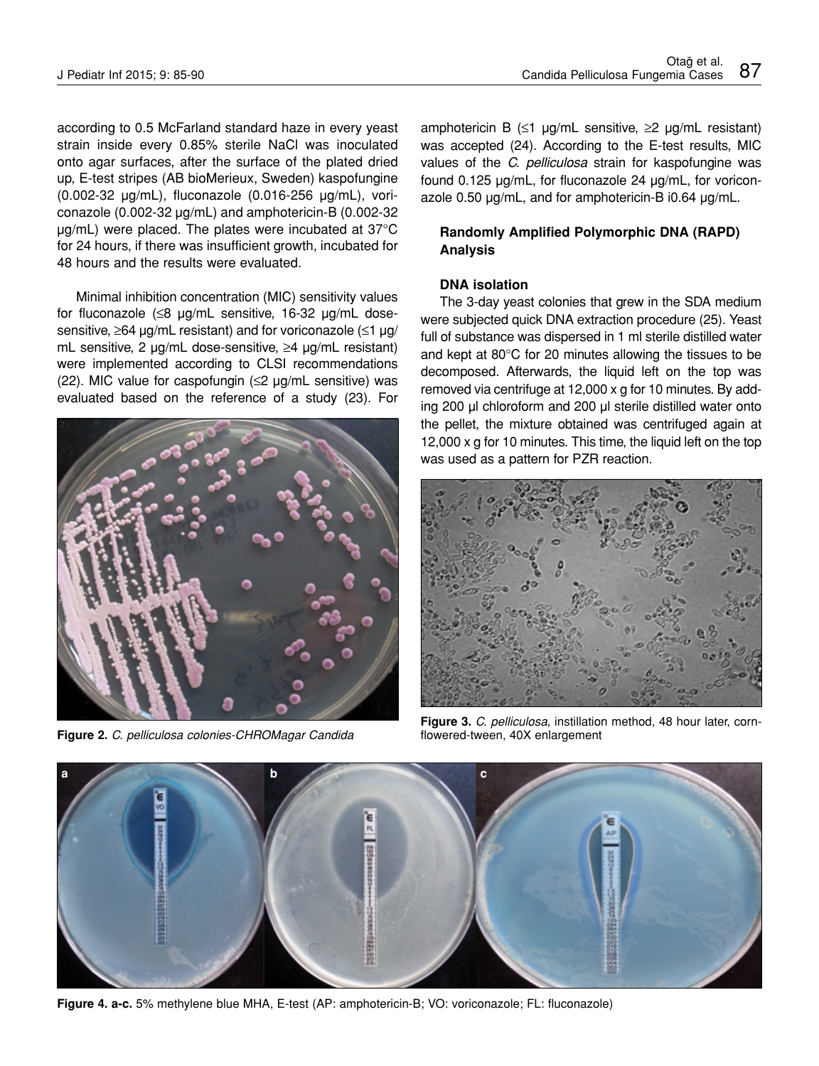according to 0.5 McFarland standard haze in every yeast strain inside every 0.85% sterile NaCl was inoculated onto agar surfaces, after the surface of the plated dried up, E-test stripes (AB bioMerieux, Sweden) kaspofungine (0.002-32 µg/mL), fluconazole (0.016-256 µg/mL), voriconazole (0.002-32 µg/mL) and amphotericin-B (0.002-32 µg/mL) were placed. The plates were incubated at 37°C for 24 hours, if there was insufficient growth, incubated for 48 hours and the results were evaluated.

Minimal inhibition concentration (MIC) sensitivity values for fluconazole (≤8 µg/mL sensitive, 16-32 µg/mL dosesensitive, ≥64 µg/mL resistant) and for voriconazole (≤1 µg/ mL sensitive, 2 µg/mL dose-sensitive, ≥4 µg/mL resistant) were implemented according to CLSI recommendations (22). MIC value for caspofungin (≤2 µg/mL sensitive) was evaluated based on the reference of a study (23). For



**Figure 2.** *C. pelliculosa colonies-CHROMagar Candida* 

amphotericin B ( $\leq$ 1 µg/mL sensitive,  $\geq$ 2 µg/mL resistant) was accepted (24). According to the E-test results, MIC values of the *C. pelliculosa* strain for kaspofungine was found 0.125 µg/mL, for fluconazole 24 µg/mL, for voriconazole 0.50 µg/mL, and for amphotericin-B i0.64 µg/mL.

## **Randomly Amplified Polymorphic DNA (RAPD) Analysis**

## **DNA isolation**

The 3-day yeast colonies that grew in the SDA medium were subjected quick DNA extraction procedure (25). Yeast full of substance was dispersed in 1 ml sterile distilled water and kept at 80°C for 20 minutes allowing the tissues to be decomposed. Afterwards, the liquid left on the top was removed via centrifuge at 12,000 x g for 10 minutes. By adding 200 µl chloroform and 200 µl sterile distilled water onto the pellet, the mixture obtained was centrifuged again at 12,000 x g for 10 minutes. This time, the liquid left on the top was used as a pattern for PZR reaction.



**Figure 3.** *C. pelliculosa,* instillation method, 48 hour later, cornflowered-tween, 40X enlargement



**Figure 4. a-c.** 5% methylene blue MHA, E-test (AP: amphotericin-B; VO: voriconazole; FL: fluconazole)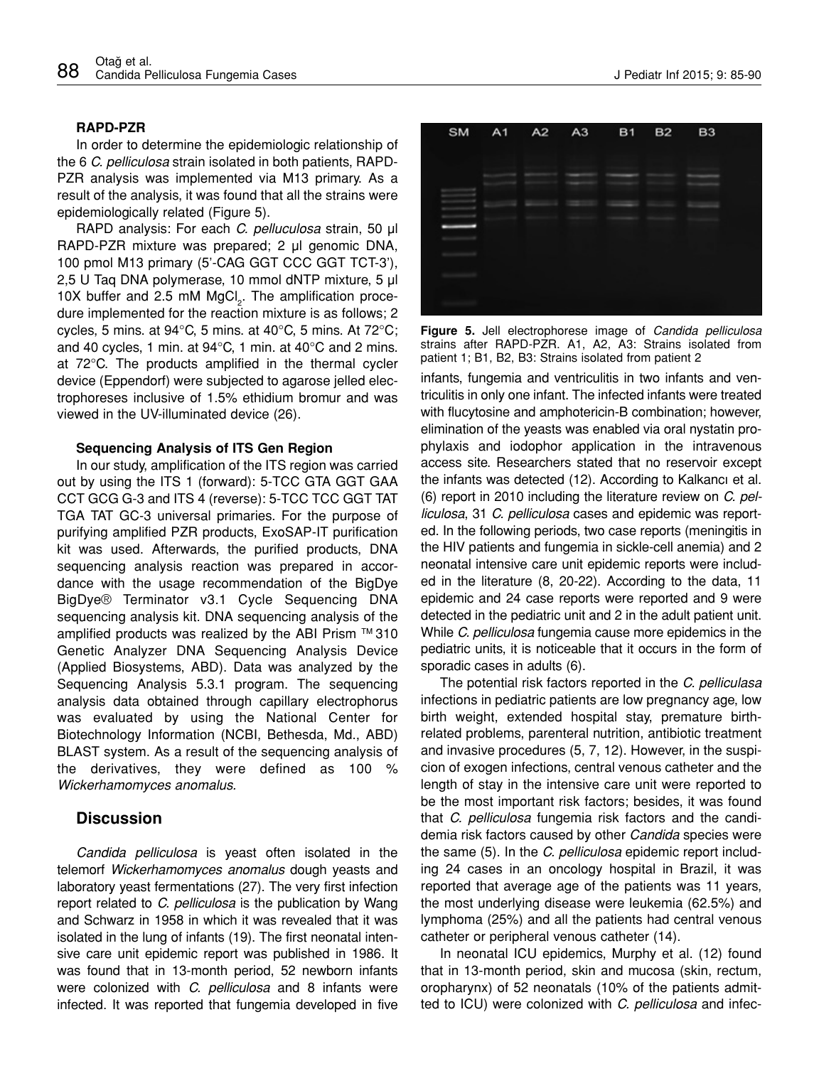#### **RAPD-PZR**

In order to determine the epidemiologic relationship of the 6 *C. pelliculosa* strain isolated in both patients, RAPD-PZR analysis was implemented via M13 primary. As a result of the analysis, it was found that all the strains were epidemiologically related (Figure 5).

RAPD analysis: For each *C. pelluculosa* strain, 50 µl RAPD-PZR mixture was prepared; 2 µl genomic DNA, 100 pmol M13 primary (5'-CAG GGT CCC GGT TCT-3'), 2,5 U Taq DNA polymerase, 10 mmol dNTP mixture, 5 µl 10X buffer and 2.5 mM  $MgCl<sub>2</sub>$ . The amplification procedure implemented for the reaction mixture is as follows; 2 cycles, 5 mins. at 94 $\degree$ C, 5 mins. at 40 $\degree$ C, 5 mins. At 72 $\degree$ C; and 40 cycles, 1 min. at 94°C, 1 min. at 40°C and 2 mins. at 72°C. The products amplified in the thermal cycler device (Eppendorf) were subjected to agarose jelled electrophoreses inclusive of 1.5% ethidium bromur and was viewed in the UV-illuminated device (26).

#### **Sequencing Analysis of ITS Gen Region**

In our study, amplification of the ITS region was carried out by using the ITS 1 (forward): 5-TCC GTA GGT GAA CCT GCG G-3 and ITS 4 (reverse): 5-TCC TCC GGT TAT TGA TAT GC-3 universal primaries. For the purpose of purifying amplified PZR products, ExoSAP-IT purification kit was used. Afterwards, the purified products, DNA sequencing analysis reaction was prepared in accordance with the usage recommendation of the BigDye BigDye® Terminator v3.1 Cycle Sequencing DNA sequencing analysis kit. DNA sequencing analysis of the amplified products was realized by the ABI Prism ™ 310 Genetic Analyzer DNA Sequencing Analysis Device (Applied Biosystems, ABD). Data was analyzed by the Sequencing Analysis 5.3.1 program. The sequencing analysis data obtained through capillary electrophorus was evaluated by using the National Center for Biotechnology Information (NCBI, Bethesda, Md., ABD) BLAST system. As a result of the sequencing analysis of the derivatives, they were defined as 100 % *Wickerhamomyces anomalus.*

## **Discussion**

*Candida pelliculosa* is yeast often isolated in the telemorf *Wickerhamomyces anomalus* dough yeasts and laboratory yeast fermentations (27). The very first infection report related to *C. pelliculosa* is the publication by Wang and Schwarz in 1958 in which it was revealed that it was isolated in the lung of infants (19). The first neonatal intensive care unit epidemic report was published in 1986. It was found that in 13-month period, 52 newborn infants were colonized with *C. pelliculosa* and 8 infants were infected. It was reported that fungemia developed in five



**Figure 5.** Jell electrophorese image of *Candida pelliculosa* strains after RAPD-PZR. A1, A2, A3: Strains isolated from patient 1; B1, B2, B3: Strains isolated from patient 2

infants, fungemia and ventriculitis in two infants and ventriculitis in only one infant. The infected infants were treated with flucytosine and amphotericin-B combination; however, elimination of the yeasts was enabled via oral nystatin prophylaxis and iodophor application in the intravenous access site. Researchers stated that no reservoir except the infants was detected (12). According to Kalkancı et al. (6) report in 2010 including the literature review on *C. pelliculosa*, 31 *C. pelliculosa* cases and epidemic was reported. In the following periods, two case reports (meningitis in the HIV patients and fungemia in sickle-cell anemia) and 2 neonatal intensive care unit epidemic reports were included in the literature (8, 20-22). According to the data, 11 epidemic and 24 case reports were reported and 9 were detected in the pediatric unit and 2 in the adult patient unit. While *C. pelliculosa* fungemia cause more epidemics in the pediatric units, it is noticeable that it occurs in the form of sporadic cases in adults (6).

The potential risk factors reported in the *C. pelliculasa* infections in pediatric patients are low pregnancy age, low birth weight, extended hospital stay, premature birthrelated problems, parenteral nutrition, antibiotic treatment and invasive procedures (5, 7, 12). However, in the suspicion of exogen infections, central venous catheter and the length of stay in the intensive care unit were reported to be the most important risk factors; besides, it was found that *C. pelliculosa* fungemia risk factors and the candidemia risk factors caused by other *Candida* species were the same (5). In the *C. pelliculosa* epidemic report including 24 cases in an oncology hospital in Brazil, it was reported that average age of the patients was 11 years, the most underlying disease were leukemia (62.5%) and lymphoma (25%) and all the patients had central venous catheter or peripheral venous catheter (14).

In neonatal ICU epidemics, Murphy et al. (12) found that in 13-month period, skin and mucosa (skin, rectum, oropharynx) of 52 neonatals (10% of the patients admitted to ICU) were colonized with *C. pelliculosa* and infec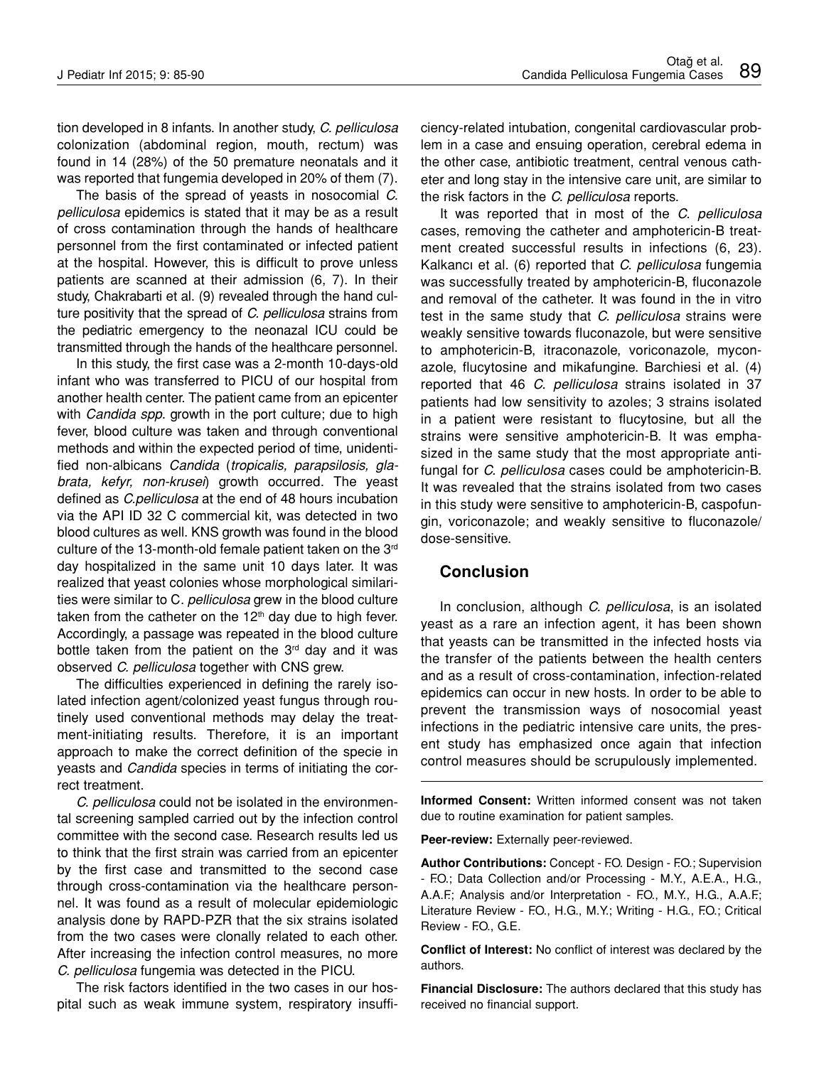tion developed in 8 infants. In another study, *C. pelliculosa*  colonization (abdominal region, mouth, rectum) was found in 14 (28%) of the 50 premature neonatals and it was reported that fungemia developed in 20% of them (7).

The basis of the spread of yeasts in nosocomial *C. pelliculosa* epidemics is stated that it may be as a result of cross contamination through the hands of healthcare personnel from the first contaminated or infected patient at the hospital. However, this is difficult to prove unless patients are scanned at their admission (6, 7). In their study, Chakrabarti et al. (9) revealed through the hand culture positivity that the spread of *C. pelliculosa* strains from the pediatric emergency to the neonazal ICU could be transmitted through the hands of the healthcare personnel.

In this study, the first case was a 2-month 10-days-old infant who was transferred to PICU of our hospital from another health center. The patient came from an epicenter with *Candida spp*. growth in the port culture; due to high fever, blood culture was taken and through conventional methods and within the expected period of time, unidentified non-albicans *Candida* (*tropicalis, parapsilosis, glabrata, kefyr, non-krusei*) growth occurred. The yeast defined as *C.pelliculosa* at the end of 48 hours incubation via the API ID 32 C commercial kit, was detected in two blood cultures as well. KNS growth was found in the blood culture of the 13-month-old female patient taken on the 3<sup>rd</sup> day hospitalized in the same unit 10 days later. It was realized that yeast colonies whose morphological similarities were similar to C*. pelliculosa* grew in the blood culture taken from the catheter on the  $12<sup>th</sup>$  day due to high fever. Accordingly, a passage was repeated in the blood culture bottle taken from the patient on the  $3<sup>rd</sup>$  day and it was observed *C. pelliculosa* together with CNS grew.

The difficulties experienced in defining the rarely isolated infection agent/colonized yeast fungus through routinely used conventional methods may delay the treatment-initiating results. Therefore, it is an important approach to make the correct definition of the specie in yeasts and *Candida* species in terms of initiating the correct treatment.

*C. pelliculosa* could not be isolated in the environmental screening sampled carried out by the infection control committee with the second case. Research results led us to think that the first strain was carried from an epicenter by the first case and transmitted to the second case through cross-contamination via the healthcare personnel. It was found as a result of molecular epidemiologic analysis done by RAPD-PZR that the six strains isolated from the two cases were clonally related to each other. After increasing the infection control measures, no more *C. pelliculosa* fungemia was detected in the PICU.

The risk factors identified in the two cases in our hospital such as weak immune system, respiratory insufficiency-related intubation, congenital cardiovascular problem in a case and ensuing operation, cerebral edema in the other case, antibiotic treatment, central venous catheter and long stay in the intensive care unit, are similar to the risk factors in the *C. pelliculosa* reports.

It was reported that in most of the *C. pelliculosa* cases, removing the catheter and amphotericin-B treatment created successful results in infections (6, 23). Kalkancı et al. (6) reported that *C. pelliculosa* fungemia was successfully treated by amphotericin-B, fluconazole and removal of the catheter. It was found in the in vitro test in the same study that *C. pelliculosa* strains were weakly sensitive towards fluconazole, but were sensitive to amphotericin-B, itraconazole, voriconazole, myconazole, flucytosine and mikafungine. Barchiesi et al. (4) reported that 46 *C. pelliculosa* strains isolated in 37 patients had low sensitivity to azoles; 3 strains isolated in a patient were resistant to flucytosine, but all the strains were sensitive amphotericin-B. It was emphasized in the same study that the most appropriate antifungal for *C. pelliculosa* cases could be amphotericin-B. It was revealed that the strains isolated from two cases in this study were sensitive to amphotericin-B, caspofungin, voriconazole; and weakly sensitive to fluconazole/ dose-sensitive.

## **Conclusion**

In conclusion, although *C. pelliculosa*, is an isolated yeast as a rare an infection agent, it has been shown that yeasts can be transmitted in the infected hosts via the transfer of the patients between the health centers and as a result of cross-contamination, infection-related epidemics can occur in new hosts. In order to be able to prevent the transmission ways of nosocomial yeast infections in the pediatric intensive care units, the present study has emphasized once again that infection control measures should be scrupulously implemented.

**Informed Consent:** Written informed consent was not taken due to routine examination for patient samples.

**Peer-review:** Externally peer-reviewed.

**Author Contributions:** Concept - F.O. Design - F.O.; Supervision - F.O.; Data Collection and/or Processing - M.Y., A.E.A., H.G., A.A.F.; Analysis and/or Interpretation - F.O., M.Y., H.G., A.A.F.; Literature Review - F.O., H.G., M.Y.; Writing - H.G., F.O.; Critical Review - F.O., G.E.

**Conflict of Interest:** No conflict of interest was declared by the authors.

**Financial Disclosure:** The authors declared that this study has received no financial support.